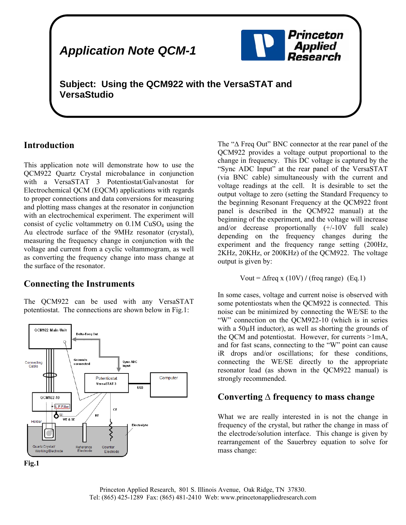# *Application Note QCM-1*



**Subject: Using the QCM922 with the VersaSTAT and VersaStudio** 

### **Introduction**

This application note will demonstrate how to use the QCM922 Quartz Crystal microbalance in conjunction with a VersaSTAT 3 Potentiostat/Galvanostat for Electrochemical QCM (EQCM) applications with regards to proper connections and data conversions for measuring and plotting mass changes at the resonator in conjunction with an electrochemical experiment. The experiment will consist of cyclic voltammetry on  $0.1M$  CuSO<sub>4</sub> using the Au electrode surface of the 9MHz resonator (crystal), measuring the frequency change in conjunction with the voltage and current from a cyclic voltammogram, as well as converting the frequency change into mass change at the surface of the resonator.

### **Connecting the Instruments**

The QCM922 can be used with any VersaSTAT potentiostat. The connections are shown below in Fig.1:



The "∆ Freq Out" BNC connector at the rear panel of the QCM922 provides a voltage output proportional to the change in frequency. This DC voltage is captured by the "Sync ADC Input" at the rear panel of the VersaSTAT (via BNC cable) simultaneously with the current and voltage readings at the cell. It is desirable to set the output voltage to zero (setting the Standard Frequency to the beginning Resonant Frequency at the QCM922 front panel is described in the QCM922 manual) at the beginning of the experiment, and the voltage will increase and/or decrease proportionally (+/-10V full scale) depending on the frequency changes during the experiment and the frequency range setting (200Hz, 2KHz, 20KHz, or 200KHz) of the QCM922. The voltage output is given by:

$$
Vout = \Delta freq \times (10V) / (freq range) (Eq.1)
$$

In some cases, voltage and current noise is observed with some potentiostats when the QCM922 is connected. This noise can be minimized by connecting the WE/SE to the "W" connection on the QCM922-10 (which is in series with a 50µH inductor), as well as shorting the grounds of the QCM and potentiostat. However, for currents >1mA, and for fast scans, connecting to the "W" point can cause iR drops and/or oscillations; for these conditions, connecting the WE/SE directly to the appropriate resonator lead (as shown in the QCM922 manual) is strongly recommended.

#### **Converting ∆ frequency to mass change**

What we are really interested in is not the change in frequency of the crystal, but rather the change in mass of the electrode/solution interface. This change is given by rearrangement of the Sauerbrey equation to solve for mass change:

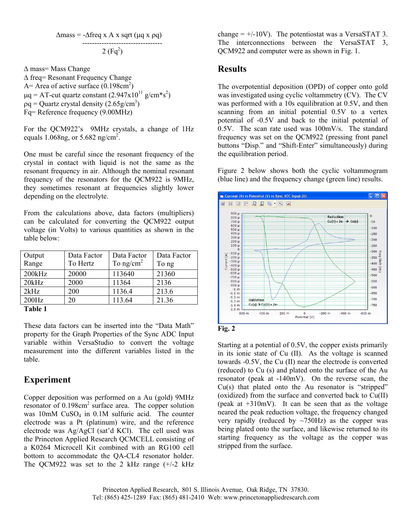$$
\Delta \text{mass} = -\Delta \text{freq} \times A \times \text{sqrt} \left( \mu q \times \rho q \right)
$$

 ---------------------------------  $2(Fq^2)$ 

∆ mass= Mass Change ∆ freq= Resonant Frequency Change A = Area of active surface  $(0.198 \text{cm}^2)$  $\mu$ q = AT-cut quartz constant (2.947x10<sup>11</sup> g/cm\*s<sup>2</sup>)  $pq =$ Quartz crystal density (2.65g/cm<sup>3</sup>) Fq= Reference frequency (9.00MHz)

For the QCM922's 9MHz crystals, a change of 1Hz equals 1.068ng, or  $5.682$  ng/cm<sup>2</sup>. . For the  $1$ 

One must be careful since the resonant frequency of the crystal in contact with liquid is not the same as the resonant frequency in air. Although the nominal resonant frequency of the resonators for the QCM922 is 9MHz, they sometimes resonant at frequencies slightly lower depending on the electrolyte.

From the calculations above, data factors (multipliers) can be calculated for converting the QCM922 output voltage (in Volts) to various quantities as shown in the table below:

| Output<br>Range | Data Factor<br>To Hertz | Data Factor<br>To $ng/cm2$ | Data Factor<br>To ng |
|-----------------|-------------------------|----------------------------|----------------------|
| 200kHz          | 20000                   | 113640                     | 21360                |
| 20kHz           | 2000                    | 11364                      | 2136                 |
| 2kHz            | 200                     | 1136.4                     | 213.6                |
| 200Hz           | 20                      | 113.64                     | 21.36                |
| Toble 1         |                         |                            |                      |

**Table 1** 

These data factors can be inserted into the "Data Math" property for the Graph Properties of the Sync ADC Input variable within VersaStudio to convert the voltage measurement into the different variables listed in the table.

## **Experiment**

Copper deposition was performed on a Au (gold) 9MHz resonator of  $0.198 \text{cm}^2$  surface area. The copper solution was  $10$ mM CuSO<sub>4</sub> in  $0.1M$  sulfuric acid. The counter electrode was a Pt (platinum) wire, and the reference electrode was Ag/AgCl (sat'd KCl). The cell used was the Princeton Applied Research QCMCELL consisting of a K0264 Microcell Kit combined with an RG100 cell bottom to accommodate the QA-CL4 resonator holder. The QCM922 was set to the 2 kHz range (+/-2 kHz

change  $= +/-10V$ ). The potentiostat was a VersaSTAT 3. The interconnections between the VersaSTAT 3, QCM922 and computer were as shown in Fig. 1.

### **Results**

The overpotential deposition (OPD) of copper onto gold was investigated using cyclic voltammetry (CV). The CV was performed with a 10s equilibration at 0.5V, and then scanning from an initial potential 0.5V to a vertex potential of -0.5V and back to the initial potential of 0.5V. The scan rate used was 100mV/s. The standard frequency was set on the QCM922 (pressing front panel buttons "Disp." and "Shift-Enter" simultaneously) during the equilibration period.

Figure 2 below shows both the cyclic voltammogram (blue line) and the frequency change (green line) results.



Starting at a potential of 0.5V, the copper exists primarily in its ionic state of Cu (II). As the voltage is scanned towards -0.5V, the Cu (II) near the electrode is converted (reduced) to Cu (s) and plated onto the surface of the Au resonator (peak at -140mV). On the reverse scan, the Cu(s) that plated onto the Au resonator is "stripped" (oxidized) from the surface and converted back to Cu(II) (peak at  $+310$ mV). It can be seen that as the voltage neared the peak reduction voltage, the frequency changed very rapidly (reduced by  $\sim$ 750Hz) as the copper was being plated onto the surface, and likewise returned to its starting frequency as the voltage as the copper was stripped from the surface.